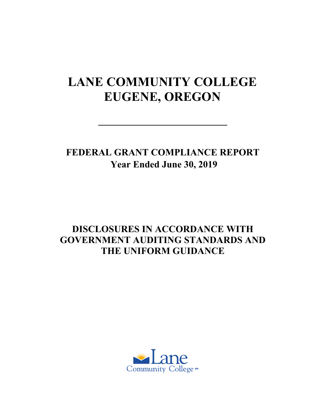# **LANE COMMUNITY COLLEGE EUGENE, OREGON**

**\_\_\_\_\_\_\_\_\_\_\_\_\_\_\_\_\_\_\_\_\_\_\_\_\_\_\_** 

**FEDERAL GRANT COMPLIANCE REPORT Year Ended June 30, 2019**

# **DISCLOSURES IN ACCORDANCE WITH GOVERNMENT AUDITING STANDARDS AND THE UNIFORM GUIDANCE**

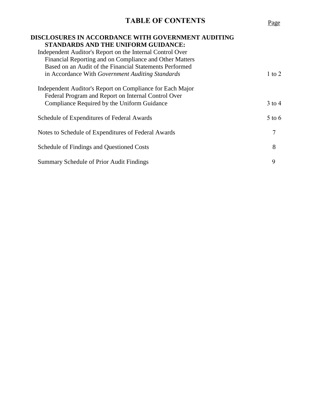# **TABLE OF CONTENTS**

**DISCLOSURES IN ACCORDANCE WITH GOVERNMENT AUDITING STANDARDS AND THE UNIFORM GUIDANCE:** 

| waxay ah o tale ci al cana ochdin                         |            |
|-----------------------------------------------------------|------------|
| Independent Auditor's Report on the Internal Control Over |            |
| Financial Reporting and on Compliance and Other Matters   |            |
| Based on an Audit of the Financial Statements Performed   |            |
| in Accordance With <i>Government Auditing Standards</i>   | $1$ to $2$ |
| Independent Auditor's Report on Compliance for Each Major |            |
| Federal Program and Report on Internal Control Over       |            |
| Compliance Required by the Uniform Guidance               | $3$ to 4   |
|                                                           |            |
| Schedule of Expenditures of Federal Awards                | $5$ to 6   |
| Notes to Schedule of Expenditures of Federal Awards       | 7          |
|                                                           |            |
| Schedule of Findings and Questioned Costs                 | 8          |
| <b>Summary Schedule of Prior Audit Findings</b>           | 9          |
|                                                           |            |

Page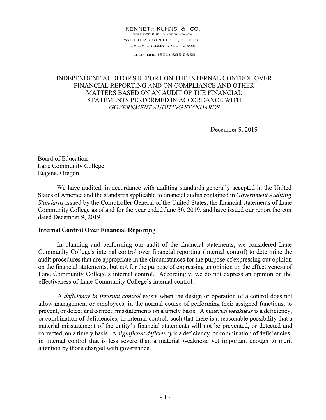#### **KENNETH KUHNS & CO.**  CERTIFIED PUBLIC ACCOUNTANTS 570 LIBERTY STREET S.E., SUITE 210 SALEM OREGON 97301-3594

TELEPHONE (503) 585-2550

# INDEPENDENT AUDITOR'S REPORT ON THE INTERNAL CONTROL OVER FINANCIAL REPORTING AND ON COMPLIANCE AND OTHER MATTERS BASED ON AN AUDIT OF THE FINANCIAL STATEMENTS PERFORMED IN ACCORDANCE WITH *GOVERNMENT AUDITING STANDARDS*

December 9, 2019

Board of Education Lane Community College Eugene, Oregon

÷,

We have audited, in accordance with auditing standards generally accepted in the United States of America and the standards applicable to financial audits contained in *Government Auditing Standards* issued by the Comptroller General of the United States, the financial statements of Lane Community College as of and for the year ended June 30, 2019, and have issued our report thereon dated December 9, 2019.

#### **Internal Control Over Financial Reporting**

In planning and performing our audit of the financial statements, we considered Lane Community College's internal control over financial reporting (internal control) to determine the audit procedures that are appropriate in the circumstances for the purpose ofexpressing our opinion on the financial statements, but not for the purpose of expressing an opinion on the effectiveness of Lane Community College's internal control. Accordingly, we do not express an opinion on the effectiveness of Lane Community College's internal control.

A *deficiency in internal control* exists when the design or operation of a control does not allow management or employees, in the normal course of performing their assigned functions, to prevent, or detect and correct, misstatements on a timely basis. A *material weakness* is a deficiency, or combination of deficiencies, in internal control, such that there is a reasonable possibility that a material misstatement of the entity's financial statements will not be prevented, or detected and corrected, on a timely basis. A *significant deficiency* is a deficiency, or combination of deficiencies, in internal control that is less severe than a material weakness, yet important enough to merit attention by those charged with governance.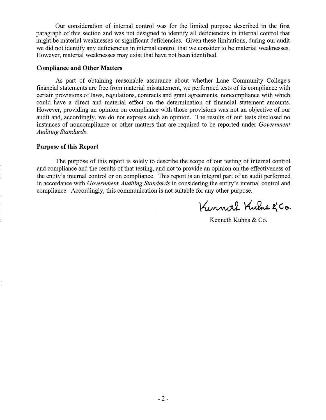Our consideration of internal control was for the limited purpose described in the first paragraph of this section and was not designed to identify all deficiencies in internal control that might be material weaknesses or significant deficiencies. Given these limitations, during our audit we did not identify any deficiencies in internal control that we consider to be material weaknesses. However, material weaknesses may exist that have not been identified.

#### **Compliance and Other Matters**

As part of obtaining reasonable assurance about whether Lane Community College's financial statements are free from material misstatement, we performed tests of its compliance with certain provisions of laws, regulations, contracts and grant agreements, noncompliance with which could have a direct and material effect on the determination of financial statement amounts. However, providing an opinion on compliance with those provisions was not an objective of our audit and, accordingly, we do not express such an opinion. The results of our tests disclosed no instances of noncompliance or other matters that are required to be reported under *Government Auditing Standards.* 

#### **Purpose of this Report**

The purpose of this report is solely to describe the scope of our testing of internal control and compliance and the results of that testing, and not to provide an opinion on the effectiveness of the entity's internal control or on compliance. This report is an integral part of an audit performed in accordance with *Government Auditing Standards* in considering the entity's internal control and compliance. Accordingly, this communication is not suitable for any other purpose.

Kennigh Kulne & Co.

Kenneth Kuhns & Co.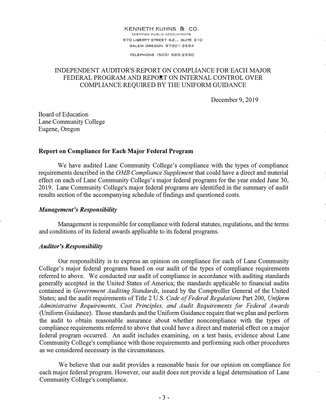#### KENNETH KUHNS & CO. **CERTIFIED PUBLIC ACCOUNTANTS 570 LIBERTY STREET S.E., SUITE 21 0 SALEM OREGON 97301-3594**

**TELEPHONE (503) 585-2550** 

#### INDEPENDENT AUDITOR'S REPORT ON COMPLIANCE FOR EACH MAJOR FEDERAL PROGRAM AND REPORT ON INTERNAL CONTROL OVER COMPLIANCE REQUIRED BY THE UNIFORM GUIDANCE

December 9, 2019

Board of Education Lane Community College Eugene, Oregon

#### **Report on Compliance for Each Major Federal Program**

We have audited Lane Community College's compliance with the types of compliance requirements described in the *0MB Compliance Supplement* that could have a direct and material effect on each of Lane Community College's major federal programs for the year ended June 30, 2019. Lane Community College's major federal programs are identified in the summary of audit results section of the accompanying schedule of findings and questioned costs.

#### *Management's Responsibility*

Management is responsible for compliance with federal statutes, regulations, and the terms and conditions of its federal awards applicable to its federal programs.

#### *Auditor's Responsibility*

Our responsibility is to express an opinion on compliance for each of Lane Community College's major federal programs based on our audit of the types of compliance requirements referred to above. We conducted our audit of compliance in accordance with auditing standards generally accepted in the United States of America; the standards applicable to financial audits contained in *Government Auditing Standards,* issued by the Comptroller General of the United States; and the audit requirements of Title 2 U.S. *Code of Federal Regulations Part 200, Uniform Administrative Requirements, Cost Principles, and Audit Requirements for Federal Awards*  (Uniform Guidance). Those standards and the Uniform Guidance require that we plan and perform the audit to obtain reasonable assurance about whether noncompliance with the types of compliance requirements referred to above that could have a direct and material effect on a major federal program occurred. An audit includes examining, on a test basis, evidence about Lane Community College's compliance with those requirements and performing such other procedures as we considered necessary in the circumstances.

We believe that our audit provides a reasonable basis for our opinion on compliance for each major federal program. However, our audit does not provide a legal determination of Lane Community College's compliance.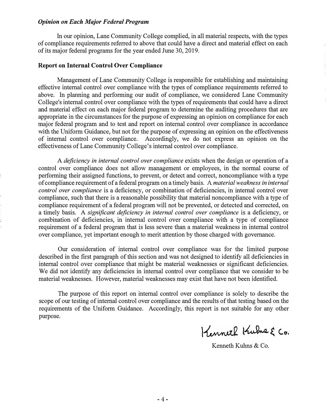#### *Opinion on Each Major Federal Program*

In our opinion, Lane Community College complied, in all material respects, with the types of compliance requirements referred to above that could have a direct and material effect on each of its major federal programs for the year ended June 30, 2019.

#### **Report on Internal Control Over Compliance**

Management of Lane Community College is responsible for establishing and maintaining effective internal control over compliance with the types of compliance requirements referred to above. In planning and performing our audit of compliance, we considered Lane Community College's internal control over compliance with the types of requirements that could have a direct and material effect on each major federal program to determine the auditing procedures that are appropriate in the circumstances for the purpose of expressing an opinion on compliance for each major federal program and to test and report on internal control over compliance in accordance with the Uniform Guidance, but not for the purpose of expressing an opinion on the effectiveness of internal control over compliance. Accordingly, we do not express an opinion on the effectiveness of Lane Community College's internal control over compliance.

A *deficiency in internal control over compliance* exists when the design or operation of a control over compliance does not allow management or employees, in the normal course of performing their assigned functions, to prevent, or detect and correct, noncompliance with a type of compliance requirement of a federal program on a timely basis. A *material weakness in internal control over compliance* is a deficiency, or combination of deficiencies, in internal control over compliance, such that there is a reasonable possibility that material noncompliance with a type of compliance requirement of a federal program will not be prevented, or detected and corrected, on a timely basis. A *significant deficiency in internal control over compliance* is a deficiency, or combination of deficiencies, in internal control over compliance with a type of compliance requirement of a federal program that is less severe than a material weakness in internal control over compliance, yet important enough to merit attention by those charged with governance.

Our consideration of internal control over compliance was for the limited purpose described in the first paragraph of this section and was not designed to identify all deficiencies in internal control over compliance that might be material weaknesses or significant deficiencies. We did not identify any deficiencies in internal control over compliance that we consider to be material weaknesses. However, material weaknesses may exist that have not been identified.

The purpose of this report on internal control over compliance is solely to describe the scope of our testing of internal control over compliance and the results of that testing based on the requirements of the Uniform Guidance. Accordingly, this report is not suitable for any other purpose.

Kenneth Kulna & Co.

Kenneth Kuhns & Co.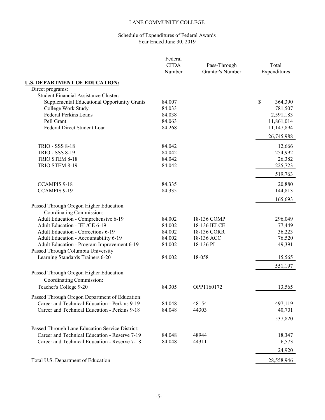#### Schedule of Expenditures of Federal Awards Year Ended June 30, 2019

|                                                                    | Federal<br><b>CFDA</b><br>Number | Pass-Through<br>Grantor's Number | Total<br>Expenditures |
|--------------------------------------------------------------------|----------------------------------|----------------------------------|-----------------------|
| <b>U.S. DEPARTMENT OF EDUCATION:</b>                               |                                  |                                  |                       |
| Direct programs:                                                   |                                  |                                  |                       |
| <b>Student Financial Assistance Cluster:</b>                       |                                  |                                  |                       |
| Supplemental Educational Opportunity Grants                        | 84.007                           |                                  | \$<br>364,390         |
| College Work Study                                                 | 84.033                           |                                  | 781,507               |
| <b>Federal Perkins Loans</b>                                       | 84.038                           |                                  | 2,591,183             |
| Pell Grant                                                         | 84.063                           |                                  | 11,861,014            |
| Federal Direct Student Loan                                        | 84.268                           |                                  | 11,147,894            |
|                                                                    |                                  |                                  | 26,745,988            |
| <b>TRIO - SSS 8-18</b>                                             | 84.042                           |                                  | 12,666                |
| <b>TRIO - SSS 8-19</b>                                             | 84.042                           |                                  | 254,992               |
| TRIO STEM 8-18                                                     | 84.042                           |                                  | 26,382                |
| TRIO STEM 8-19                                                     | 84.042                           |                                  | 225,723               |
|                                                                    |                                  |                                  | 519,763               |
| <b>CCAMPIS 9-18</b>                                                | 84.335                           |                                  | 20,880                |
| <b>CCAMPIS 9-19</b>                                                | 84.335                           |                                  | 144,813               |
|                                                                    |                                  |                                  | 165,693               |
| Passed Through Oregon Higher Education<br>Coordinating Commission: |                                  |                                  |                       |
| Adult Education - Comprehensive 6-19                               | 84.002                           | 18-136 COMP                      | 296,049               |
| Adult Education - IEL/CE 6-19                                      | 84.002                           | 18-136 IELCE                     | 77,449                |
| <b>Adult Education - Corrections 6-19</b>                          | 84.002                           | 18-136 CORR                      | 36,223                |
| Adult Education - Accountability 6-19                              | 84.002                           | 18-136 ACC                       | 76,520                |
| Adult Education - Program Improvement 6-19                         | 84.002                           | 18-136 PI                        | 49,391                |
| Passed Through Columbia University                                 |                                  |                                  |                       |
| Learning Standards Trainers 6-20                                   | 84.002                           | 18-058                           | 15,565                |
|                                                                    |                                  |                                  | 551,197               |
| Passed Through Oregon Higher Education                             |                                  |                                  |                       |
| Coordinating Commission:                                           |                                  |                                  |                       |
| Teacher's College 9-20                                             | 84.305                           | OPP1160172                       | 13,565                |
| Passed Through Oregon Department of Education:                     |                                  |                                  |                       |
| Career and Technical Education - Perkins 9-19                      | 84.048                           | 48154                            | 497,119               |
| Career and Technical Education - Perkins 9-18                      | 84.048                           | 44303                            | 40,701                |
|                                                                    |                                  |                                  | 537,820               |
| Passed Through Lane Education Service District:                    |                                  |                                  |                       |
| Career and Technical Education - Reserve 7-19                      | 84.048                           | 48944                            | 18,347                |
| Career and Technical Education - Reserve 7-18                      | 84.048                           | 44311                            | 6,573                 |
|                                                                    |                                  |                                  | 24,920                |
|                                                                    |                                  |                                  |                       |
| Total U.S. Department of Education                                 |                                  |                                  | 28,558,946            |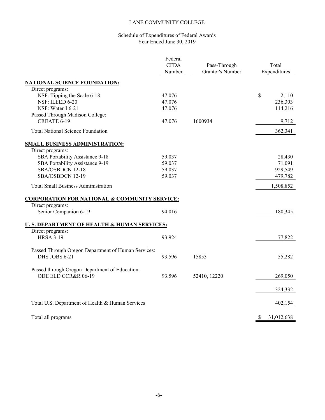# Schedule of Expenditures of Federal Awards Year Ended June 30, 2019

|                                                          | Federal<br><b>CFDA</b><br>Number | Pass-Through<br>Grantor's Number | Total<br>Expenditures |
|----------------------------------------------------------|----------------------------------|----------------------------------|-----------------------|
| <b>NATIONAL SCIENCE FOUNDATION:</b>                      |                                  |                                  |                       |
| Direct programs:                                         |                                  |                                  |                       |
| NSF: Tipping the Scale 6-18                              | 47.076                           |                                  | \$<br>2,110           |
| NSF: ILEED 6-20                                          | 47.076                           |                                  | 236,303               |
| NSF: Water-I 6-21                                        | 47.076                           |                                  | 114,216               |
| Passed Through Madison College:                          |                                  |                                  |                       |
| CREATE 6-19                                              | 47.076                           | 1600934                          | 9,712                 |
| <b>Total National Science Foundation</b>                 |                                  |                                  | 362,341               |
| <b>SMALL BUSINESS ADMINISTRATION:</b>                    |                                  |                                  |                       |
| Direct programs:                                         |                                  |                                  |                       |
| SBA Portability Assistance 9-18                          | 59.037                           |                                  | 28,430                |
| SBA Portability Assistance 9-19                          | 59.037                           |                                  | 71,091                |
| SBA/OSBDCN 12-18                                         | 59.037                           |                                  | 929,549               |
| SBA/OSBDCN 12-19                                         | 59.037                           |                                  | 479,782               |
| <b>Total Small Business Administration</b>               |                                  |                                  | 1,508,852             |
| <b>CORPORATION FOR NATIONAL &amp; COMMUNITY SERVICE:</b> |                                  |                                  |                       |
| Direct programs:                                         |                                  |                                  |                       |
| Senior Companion 6-19                                    | 94.016                           |                                  | 180,345               |
| <b>U. S. DEPARTMENT OF HEALTH &amp; HUMAN SERVICES:</b>  |                                  |                                  |                       |
| Direct programs:                                         |                                  |                                  |                       |
| <b>HRSA 3-19</b>                                         | 93.924                           |                                  | 77,822                |
| Passed Through Oregon Department of Human Services:      |                                  |                                  |                       |
| DHS JOBS 6-21                                            | 93.596                           | 15853                            | 55,282                |
|                                                          |                                  |                                  |                       |
| Passed through Oregon Department of Education:           |                                  |                                  |                       |
| ODE ELD CCR&R 06-19                                      | 93.596                           | 52410, 12220                     | 269,050               |
|                                                          |                                  |                                  |                       |
|                                                          |                                  |                                  | 324,332               |
| Total U.S. Department of Health & Human Services         |                                  |                                  | 402,154               |
|                                                          |                                  |                                  |                       |
| Total all programs                                       |                                  |                                  | \$<br>31,012,638      |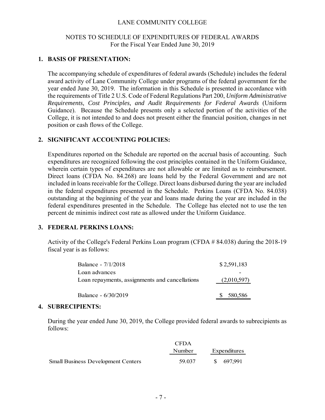#### NOTES TO SCHEDULE OF EXPENDITURES OF FEDERAL AWARDS For the Fiscal Year Ended June 30, 2019

# **1. BASIS OF PRESENTATION:**

The accompanying schedule of expenditures of federal awards (Schedule) includes the federal award activity of Lane Community College under programs of the federal government for the year ended June 30, 2019. The information in this Schedule is presented in accordance with the requirements of Title 2 U.S. Code of Federal Regulations Part 200, *Uniform Administrative Requirements, Cost Principles, and Audit Requirements for Federal Awards* (Uniform Guidance). Because the Schedule presents only a selected portion of the activities of the College, it is not intended to and does not present either the financial position, changes in net position or cash flows of the College.

# **2. SIGNIFICANT ACCOUNTING POLICIES:**

Expenditures reported on the Schedule are reported on the accrual basis of accounting. Such expenditures are recognized following the cost principles contained in the Uniform Guidance, wherein certain types of expenditures are not allowable or are limited as to reimbursement. Direct loans (CFDA No. 84.268) are loans held by the Federal Government and are not included in loans receivable for the College. Direct loans disbursed during the year are included in the federal expenditures presented in the Schedule. Perkins Loans (CFDA No. 84.038) outstanding at the beginning of the year and loans made during the year are included in the federal expenditures presented in the Schedule. The College has elected not to use the ten percent de minimis indirect cost rate as allowed under the Uniform Guidance.

# **3. FEDERAL PERKINS LOANS:**

Activity of the College's Federal Perkins Loan program (CFDA # 84.038) during the 2018-19 fiscal year is as follows:

| Balance - 7/1/2018                             | \$2,591,183 |
|------------------------------------------------|-------------|
| Loan advances                                  |             |
| Loan repayments, assignments and cancellations | (2,010,597) |
|                                                |             |
| Balance - 6/30/2019                            | 580,586     |

#### **4. SUBRECIPIENTS:**

During the year ended June 30, 2019, the College provided federal awards to subrecipients as follows:

|                                           | <b>CFDA</b> |              |
|-------------------------------------------|-------------|--------------|
|                                           | Number      | Expenditures |
| <b>Small Business Development Centers</b> | 59.037      | \$ 697.991   |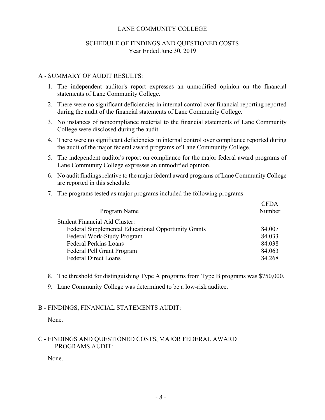#### SCHEDULE OF FINDINGS AND QUESTIONED COSTS Year Ended June 30, 2019

#### A - SUMMARY OF AUDIT RESULTS:

- 1. The independent auditor's report expresses an unmodified opinion on the financial statements of Lane Community College.
- 2. There were no significant deficiencies in internal control over financial reporting reported during the audit of the financial statements of Lane Community College.
- 3. No instances of noncompliance material to the financial statements of Lane Community College were disclosed during the audit.
- 4. There were no significant deficiencies in internal control over compliance reported during the audit of the major federal award programs of Lane Community College.
- 5. The independent auditor's report on compliance for the major federal award programs of Lane Community College expresses an unmodified opinion.
- 6. No audit findings relative to the major federal award programs of Lane Community College are reported in this schedule.

**CFDA** 

7. The programs tested as major programs included the following programs:

| Program Name                                               | Number |
|------------------------------------------------------------|--------|
| Student Financial Aid Cluster:                             |        |
| <b>Federal Supplemental Educational Opportunity Grants</b> | 84.007 |
| Federal Work-Study Program                                 | 84.033 |
| <b>Federal Perkins Loans</b>                               | 84.038 |
| Federal Pell Grant Program                                 | 84.063 |
| <b>Federal Direct Loans</b>                                | 84.268 |

- 8. The threshold for distinguishing Type A programs from Type B programs was \$750,000.
- 9. Lane Community College was determined to be a low-risk auditee.

#### B - FINDINGS, FINANCIAL STATEMENTS AUDIT:

None.

## C - FINDINGS AND QUESTIONED COSTS, MAJOR FEDERAL AWARD PROGRAMS AUDIT:

None.